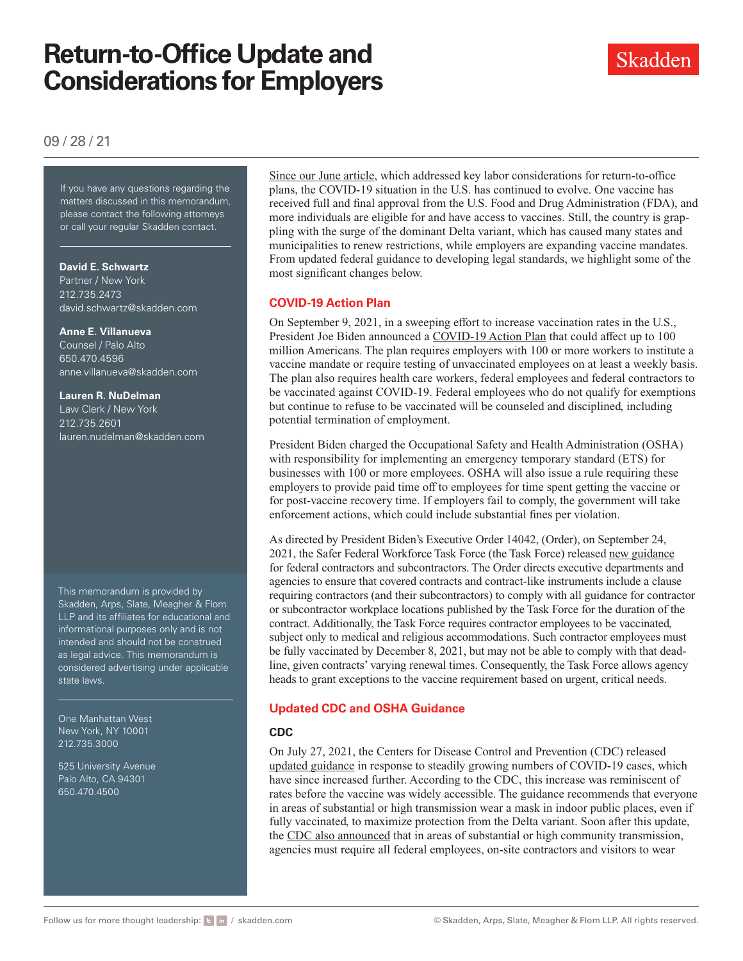

# 09 / 28 / 21

If you have any questions regarding the matters discussed in this memorandum, please contact the following attorneys or call your regular Skadden contact.

#### **David E. Schwartz**

Partner / New York 212.735.2473 [david.schwartz@skadden.com](mailto: david.schwartz@skadden.com)

#### **Anne E. Villanueva**

Counsel / Palo Alto 650.470.4596 [anne.villanueva@skadden.com](mailto: anne.villanueva@skadden.com)

#### **Lauren R. NuDelman**

Law Clerk / New York 212.735.2601 [lauren.nudelman@skadden.com](mailto: lauren.nudelman@skadden.com)

This memorandum is provided by Skadden, Arps, Slate, Meagher & Flom LLP and its affiliates for educational and informational purposes only and is not intended and should not be construed as legal advice. This memorandum is considered advertising under applicable state laws.

One Manhattan West New York, NY 10001 212.735.3000

525 University Avenue Palo Alto, CA 94301 650.470.4500

[Since our June article,](https://www.skadden.com/Insights/Publications/2021/06/Quarterly-Insights/Key-Labor-Considerations-for-Return-to-Office) which addressed key labor considerations for return-to-office plans, the COVID-19 situation in the U.S. has continued to evolve. One vaccine has received full and final approval from the U.S. Food and Drug Administration (FDA), and more individuals are eligible for and have access to vaccines. Still, the country is grappling with the surge of the dominant Delta variant, which has caused many states and municipalities to renew restrictions, while employers are expanding vaccine mandates. From updated federal guidance to developing legal standards, we highlight some of the most significant changes below.

# **COVID-19 Action Plan**

On September 9, 2021, in a sweeping effort to increase vaccination rates in the U.S., President Joe Biden announced a [COVID-19 Action Plan](https://www.whitehouse.gov/covidplan/) that could affect up to 100 million Americans. The plan requires employers with 100 or more workers to institute a vaccine mandate or require testing of unvaccinated employees on at least a weekly basis. The plan also requires health care workers, federal employees and federal contractors to be vaccinated against COVID-19. Federal employees who do not qualify for exemptions but continue to refuse to be vaccinated will be counseled and disciplined, including potential termination of employment.

President Biden charged the Occupational Safety and Health Administration (OSHA) with responsibility for implementing an emergency temporary standard (ETS) for businesses with 100 or more employees. OSHA will also issue a rule requiring these employers to provide paid time off to employees for time spent getting the vaccine or for post-vaccine recovery time. If employers fail to comply, the government will take enforcement actions, which could include substantial fines per violation.

As directed by President Biden's Executive Order 14042, (Order), on September 24, 2021, the Safer Federal Workforce Task Force (the Task Force) released [new guidance](https://www.whitehouse.gov/omb/briefing-room/2021/09/24/new-guidance-on-covid-19-workplace-safety-for-federal-contractors/) for federal contractors and subcontractors. The Order directs executive departments and agencies to ensure that covered contracts and contract-like instruments include a clause requiring contractors (and their subcontractors) to comply with all guidance for contractor or subcontractor workplace locations published by the Task Force for the duration of the contract. Additionally, the Task Force requires contractor employees to be vaccinated, subject only to medical and religious accommodations. Such contractor employees must be fully vaccinated by December 8, 2021, but may not be able to comply with that deadline, given contracts' varying renewal times. Consequently, the Task Force allows agency heads to grant exceptions to the vaccine requirement based on urgent, critical needs.

### **Updated CDC and OSHA Guidance**

#### **CDC**

On July 27, 2021, the Centers for Disease Control and Prevention (CDC) released [updated guidance](https://www.cdc.gov/mmwr/volumes/70/wr/mm7030e2.htm) in response to steadily growing numbers of COVID-19 cases, which have since increased further. According to the CDC, this increase was reminiscent of rates before the vaccine was widely accessible. The guidance recommends that everyone in areas of substantial or high transmission wear a mask in indoor public places, even if fully vaccinated, to maximize protection from the Delta variant. Soon after this update, the [CDC also announced](https://www.justice.gov/jmd/mask-guidance-doj-employees-and-contractors) that in areas of substantial or high community transmission, agencies must require all federal employees, on-site contractors and visitors to wear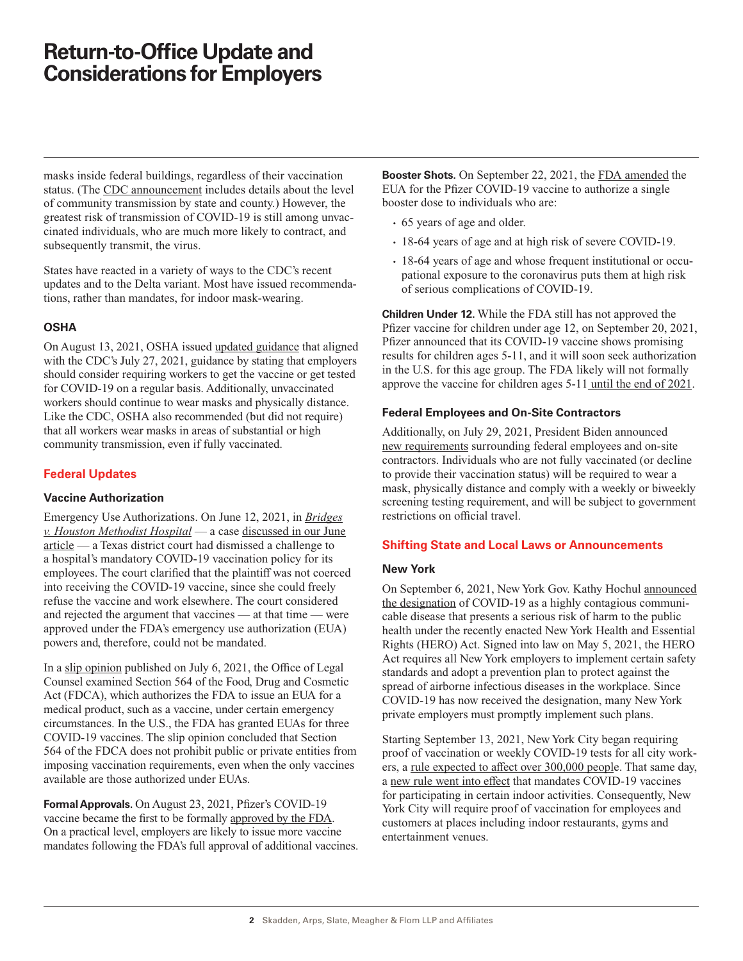masks inside federal buildings, regardless of their vaccination status. (The [CDC announcement](https://covid.cdc.gov/covid-data-tracker/#county-view) includes details about the level of community transmission by state and county.) However, the greatest risk of transmission of COVID-19 is still among unvaccinated individuals, who are much more likely to contract, and subsequently transmit, the virus.

States have reacted in a variety of ways to the CDC's recent updates and to the Delta variant. Most have issued recommendations, rather than mandates, for indoor mask-wearing.

#### **OSHA**

On August 13, 2021, OSHA issued [updated guidance](https://www.osha.gov/coronavirus/safework) that aligned with the CDC's July 27, 2021, guidance by stating that employers should consider requiring workers to get the vaccine or get tested for COVID-19 on a regular basis. Additionally, unvaccinated workers should continue to wear masks and physically distance. Like the CDC, OSHA also recommended (but did not require) that all workers wear masks in areas of substantial or high community transmission, even if fully vaccinated.

### **Federal Updates**

#### **Vaccine Authorization**

Emergency Use Authorizations. On June 12, 2021, in *[Bridges](https://www.skadden.com/-/media/Files/Publications/2021/09/Quarterly-Insights/Bridges.pdf) [v. Houston Methodist Hospital](https://www.skadden.com/-/media/Files/Publications/2021/09/Quarterly-Insights/Bridges.pdf)* — a case [discussed in our June](https://www.skadden.com/Insights/Publications/2021/06/Quarterly-Insights/Key-Labor-Considerations-for-Return-to-Office) [article](https://www.skadden.com/Insights/Publications/2021/06/Quarterly-Insights/Key-Labor-Considerations-for-Return-to-Office) — a Texas district court had dismissed a challenge to a hospital's mandatory COVID-19 vaccination policy for its employees. The court clarified that the plaintiff was not coerced into receiving the COVID-19 vaccine, since she could freely refuse the vaccine and work elsewhere. The court considered and rejected the argument that vaccines — at that time — were approved under the FDA's emergency use authorization (EUA) powers and, therefore, could not be mandated.

In a [slip opinion](https://www.skadden.com/-/media/Files/Publications/2021/09/Quarterly-Insights/slip-opinion.pdf) published on July 6, 2021, the Office of Legal Counsel examined Section 564 of the Food, Drug and Cosmetic Act (FDCA), which authorizes the FDA to issue an EUA for a medical product, such as a vaccine, under certain emergency circumstances. In the U.S., the FDA has granted EUAs for three COVID-19 vaccines. The slip opinion concluded that Section 564 of the FDCA does not prohibit public or private entities from imposing vaccination requirements, even when the only vaccines available are those authorized under EUAs.

**Formal Approvals.** On August 23, 2021, Pfizer's COVID-19 vaccine became the first to be formally [approved by the FDA.](https://www.fda.gov/news-events/press-announcements/fda-approves-first-covid-19-vaccine) On a practical level, employers are likely to issue more vaccine mandates following the FDA's full approval of additional vaccines. **Booster Shots.** On September 22, 2021, the [FDA amended](https://www.fda.gov/news-events/press-announcements/fda-authorizes-booster-dose-pfizer-biontech-covid-19-vaccine-certain-populations) the EUA for the Pfizer COVID-19 vaccine to authorize a single booster dose to individuals who are:

- 65 years of age and older.
- 18-64 years of age and at high risk of severe COVID-19.
- 18-64 years of age and whose frequent institutional or occupational exposure to the coronavirus puts them at high risk of serious complications of COVID-19.

**Children Under 12.** While the FDA still has not approved the Pfizer vaccine for children under age 12, on September 20, 2021, Pfizer announced that its COVID-19 vaccine shows promising results for children ages 5-11, and it will soon seek authorization in the U.S. for this age group. The FDA likely will not formally approve the vaccine for children ages 5-11 [until the end of 2021](https://www.npr.org/sections/coronavirus-live-updates/2021/09/20/1038832951/pfizer-and-biontech-vaccine-trials-for-kids-show-the-shots-are-safe-and-effectiv).

#### **Federal Employees and On-Site Contractors**

Additionally, on July 29, 2021, President Biden announced [new requirements](https://www.whitehouse.gov/briefing-room/statements-releases/2021/07/29/fact-sheet-president-biden-to-announce-new-actions-to-get-more-americans-vaccinated-and-slow-the-spread-of-the-delta-variant/) surrounding federal employees and on-site contractors. Individuals who are not fully vaccinated (or decline to provide their vaccination status) will be required to wear a mask, physically distance and comply with a weekly or biweekly screening testing requirement, and will be subject to government restrictions on official travel.

#### **Shifting State and Local Laws or Announcements**

#### **New York**

On September 6, 2021, New York Gov. Kathy Hochul [announced](https://www.governor.ny.gov/news/governor-kathy-hochul-announces-designation-covid-19-airborne-infectious-disease-under-new) [the designation](https://www.governor.ny.gov/news/governor-kathy-hochul-announces-designation-covid-19-airborne-infectious-disease-under-new) of COVID-19 as a highly contagious communicable disease that presents a serious risk of harm to the public health under the recently enacted New York Health and Essential Rights (HERO) Act. Signed into law on May 5, 2021, the HERO Act requires all New York employers to implement certain safety standards and adopt a prevention plan to protect against the spread of airborne infectious diseases in the workplace. Since COVID-19 has now received the designation, many New York private employers must promptly implement such plans.

Starting September 13, 2021, New York City began requiring proof of vaccination or weekly COVID-19 tests for all city workers, a [rule expected to affect over 300,000 peopl](https://www1.nyc.gov/office-of-the-mayor/news/078-000/executive-order-78)e. That same day, a [new rule went into effect](https://www1.nyc.gov/site/doh/covid/covid-19-vaccines-keytonyc.page) that mandates COVID-19 vaccines for participating in certain indoor activities. Consequently, New York City will require proof of vaccination for employees and customers at places including indoor restaurants, gyms and entertainment venues.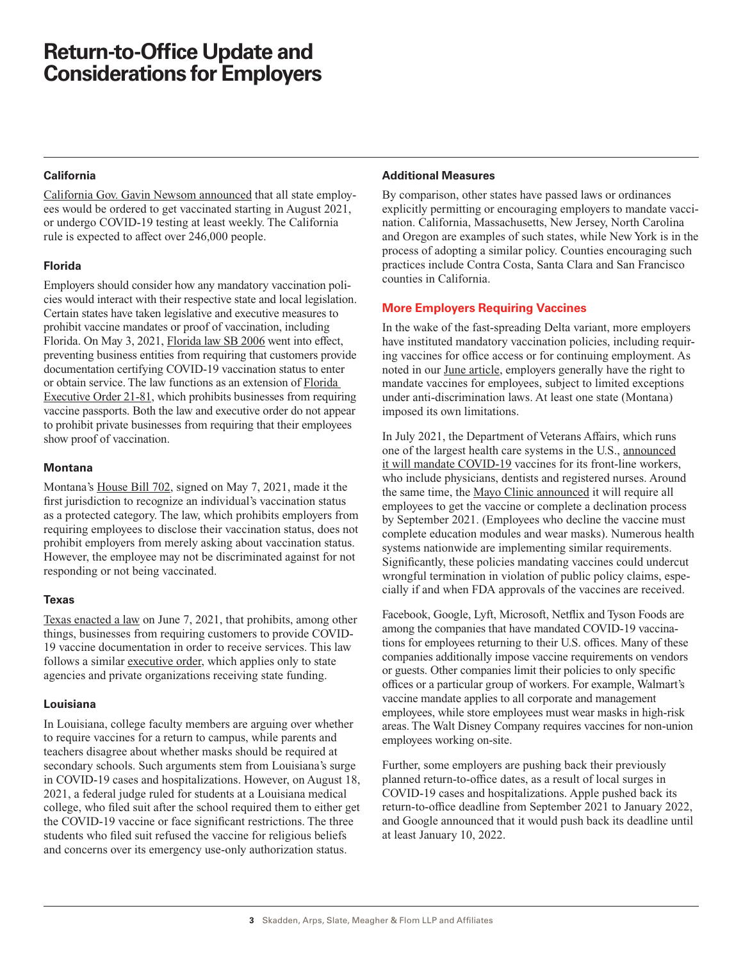#### **California**

[California Gov. Gavin Newsom announced](https://www.gov.ca.gov/2021/07/26/california-implements-first-in-the-nation-measures-to-encourage-state-employees-and-health-care-workers-to-get-vaccinated/) that all state employees would be ordered to get vaccinated starting in August 2021, or undergo COVID-19 testing at least weekly. The California rule is expected to affect over 246,000 people.

#### **Florida**

Employers should consider how any mandatory vaccination policies would interact with their respective state and local legislation. Certain states have taken legislative and executive measures to prohibit vaccine mandates or proof of vaccination, including Florida. On May 3, 2021, [Florida law SB 2006](https://www.flsenate.gov/Session/Bill/2021/2006) went into effect, preventing business entities from requiring that customers provide documentation certifying COVID-19 vaccination status to enter or obtain service. The law functions as an extension of [Florida](https://www.skadden.com/-/media/Files/Publications/2021/09/Quarterly-Insights/Florida-Executive-Order-21-81.pdf)  [Executive Order 21-81,](https://www.skadden.com/-/media/Files/Publications/2021/09/Quarterly-Insights/Florida-Executive-Order-21-81.pdf) which prohibits businesses from requiring vaccine passports. Both the law and executive order do not appear to prohibit private businesses from requiring that their employees show proof of vaccination.

#### **Montana**

Montana's [House Bill 702](https://www.skadden.com/-/media/Files/Publications/2021/09/Quarterly-Insights/House-Bill-702.pdf), signed on May 7, 2021, made it the first jurisdiction to recognize an individual's vaccination status as a protected category. The law, which prohibits employers from requiring employees to disclose their vaccination status, does not prohibit employers from merely asking about vaccination status. However, the employee may not be discriminated against for not responding or not being vaccinated.

#### **Texas**

[Texas enacted a law](https://www.skadden.com/-/media/Files/Publications/2021/09/Quarterly-Insights/Texas-Enacted-a-Law.pdf) on June 7, 2021, that prohibits, among other things, businesses from requiring customers to provide COVID-19 vaccine documentation in order to receive services. This law follows a similar [executive order,](https://www.skadden.com/-/media/Files/Publications/2021/09/Quarterly-Insights/Executive-Order.pdf) which applies only to state agencies and private organizations receiving state funding.

### **Louisiana**

In Louisiana, college faculty members are arguing over whether to require vaccines for a return to campus, while parents and teachers disagree about whether masks should be required at secondary schools. Such arguments stem from Louisiana's surge in COVID-19 cases and hospitalizations. However, on August 18, 2021, a federal judge ruled for students at a Louisiana medical college, who filed suit after the school required them to either get the COVID-19 vaccine or face significant restrictions. The three students who filed suit refused the vaccine for religious beliefs and concerns over its emergency use-only authorization status.

#### **Additional Measures**

By comparison, other states have passed laws or ordinances explicitly permitting or encouraging employers to mandate vaccination. California, Massachusetts, New Jersey, North Carolina and Oregon are examples of such states, while New York is in the process of adopting a similar policy. Counties encouraging such practices include Contra Costa, Santa Clara and San Francisco counties in California.

## **More Employers Requiring Vaccines**

In the wake of the fast-spreading Delta variant, more employers have instituted mandatory vaccination policies, including requiring vaccines for office access or for continuing employment. As noted in our [June article,](https://www.skadden.com/Insights/Publications/2021/06/Quarterly-Insights/Key-Labor-Considerations-for-Return-to-Office) employers generally have the right to mandate vaccines for employees, subject to limited exceptions under anti-discrimination laws. At least one state (Montana) imposed its own limitations.

In July 2021, the Department of Veterans Affairs, which runs one of the largest health care systems in the U.S., [announced](https://www.va.gov/opa/pressrel/pressrelease.cfm?id=5696) [it will mandate COVID-19](https://www.va.gov/opa/pressrel/pressrelease.cfm?id=5696) vaccines for its front-line workers, who include physicians, dentists and registered nurses. Around the same time, the [Mayo Clinic announced](https://newsnetwork.mayoclinic.org/discussion/mayo-clinic-announces-next-phase-of-vaccination-requirements-for-covid-19/) it will require all employees to get the vaccine or complete a declination process by September 2021. (Employees who decline the vaccine must complete education modules and wear masks). Numerous health systems nationwide are implementing similar requirements. Significantly, these policies mandating vaccines could undercut wrongful termination in violation of public policy claims, especially if and when FDA approvals of the vaccines are received.

Facebook, Google, Lyft, Microsoft, Netflix and Tyson Foods are among the companies that have mandated COVID-19 vaccinations for employees returning to their U.S. offices. Many of these companies additionally impose vaccine requirements on vendors or guests. Other companies limit their policies to only specific offices or a particular group of workers. For example, Walmart's vaccine mandate applies to all corporate and management employees, while store employees must wear masks in high-risk areas. The Walt Disney Company requires vaccines for non-union employees working on-site.

Further, some employers are pushing back their previously planned return-to-office dates, as a result of local surges in COVID-19 cases and hospitalizations. Apple pushed back its return-to-office deadline from September 2021 to January 2022, and Google announced that it would push back its deadline until at least January 10, 2022.